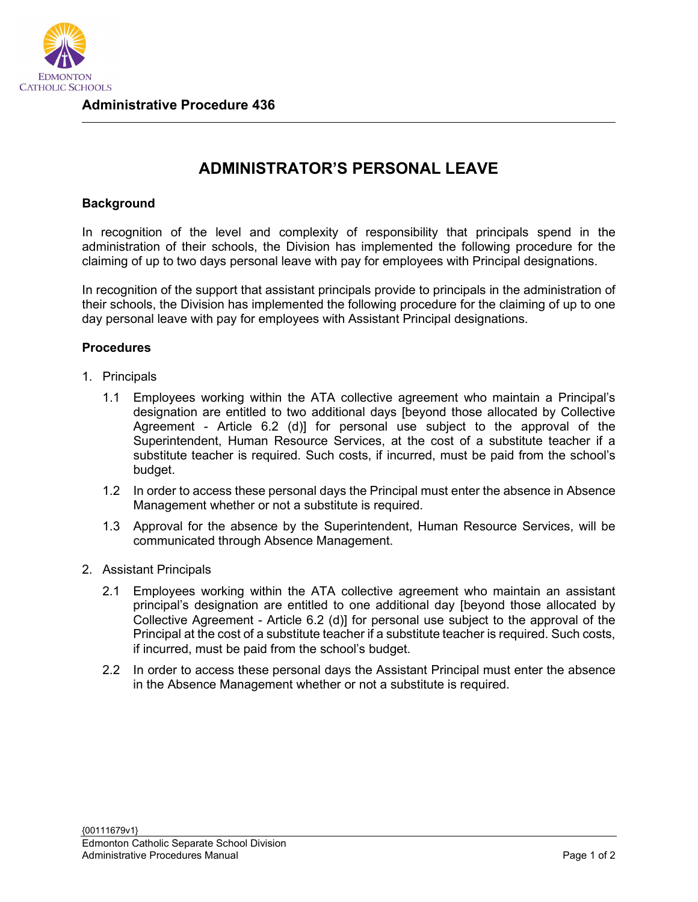

## **ADMINISTRATOR'S PERSONAL LEAVE**

## **Background**

In recognition of the level and complexity of responsibility that principals spend in the administration of their schools, the Division has implemented the following procedure for the claiming of up to two days personal leave with pay for employees with Principal designations.

In recognition of the support that assistant principals provide to principals in the administration of their schools, the Division has implemented the following procedure for the claiming of up to one day personal leave with pay for employees with Assistant Principal designations.

## **Procedures**

- 1. Principals
	- 1.1 Employees working within the ATA collective agreement who maintain a Principal's designation are entitled to two additional days [beyond those allocated by Collective Agreement - Article 6.2 (d)] for personal use subject to the approval of the Superintendent, Human Resource Services, at the cost of a substitute teacher if a substitute teacher is required. Such costs, if incurred, must be paid from the school's budget.
	- 1.2 In order to access these personal days the Principal must enter the absence in Absence Management whether or not a substitute is required.
	- 1.3 Approval for the absence by the Superintendent, Human Resource Services, will be communicated through Absence Management.
- 2. Assistant Principals
	- 2.1 Employees working within the ATA collective agreement who maintain an assistant principal's designation are entitled to one additional day [beyond those allocated by Collective Agreement - Article 6.2 (d)] for personal use subject to the approval of the Principal at the cost of a substitute teacher if a substitute teacher is required. Such costs, if incurred, must be paid from the school's budget.
	- 2.2 In order to access these personal days the Assistant Principal must enter the absence in the Absence Management whether or not a substitute is required.